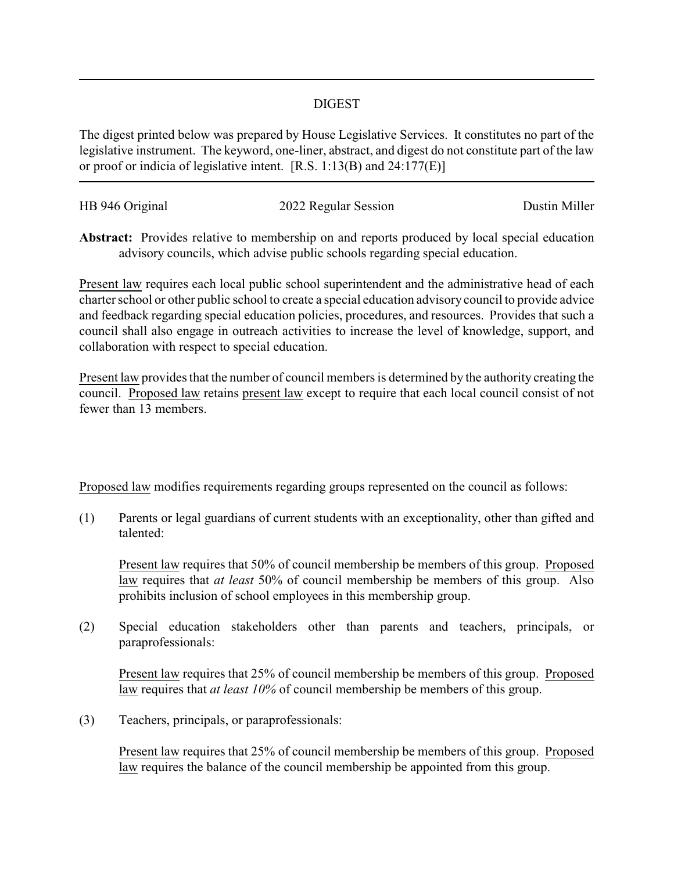## DIGEST

The digest printed below was prepared by House Legislative Services. It constitutes no part of the legislative instrument. The keyword, one-liner, abstract, and digest do not constitute part of the law or proof or indicia of legislative intent. [R.S. 1:13(B) and 24:177(E)]

| HB 946 Original | 2022 Regular Session | Dustin Miller |
|-----------------|----------------------|---------------|
|                 |                      |               |

**Abstract:** Provides relative to membership on and reports produced by local special education advisory councils, which advise public schools regarding special education.

Present law requires each local public school superintendent and the administrative head of each charter school or other public school to create a special education advisory council to provide advice and feedback regarding special education policies, procedures, and resources. Provides that such a council shall also engage in outreach activities to increase the level of knowledge, support, and collaboration with respect to special education.

Present law provides that the number of council members is determined by the authority creating the council. Proposed law retains present law except to require that each local council consist of not fewer than 13 members.

Proposed law modifies requirements regarding groups represented on the council as follows:

(1) Parents or legal guardians of current students with an exceptionality, other than gifted and talented:

Present law requires that 50% of council membership be members of this group. Proposed law requires that *at least* 50% of council membership be members of this group. Also prohibits inclusion of school employees in this membership group.

(2) Special education stakeholders other than parents and teachers, principals, or paraprofessionals:

Present law requires that 25% of council membership be members of this group. Proposed law requires that *at least 10%* of council membership be members of this group.

(3) Teachers, principals, or paraprofessionals:

Present law requires that 25% of council membership be members of this group. Proposed law requires the balance of the council membership be appointed from this group.